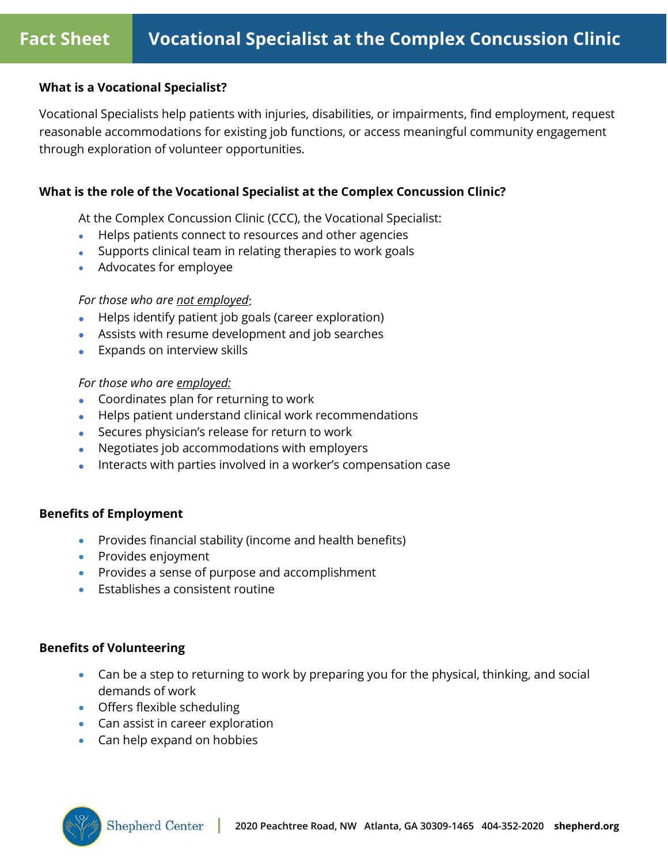#### **What is a Vocational Specialist?**

Vocational Specialists help patients with injuries, disabilities, or impairments, find employment, request reasonable accommodations for existing job functions, or access meaningful community engagement through exploration of volunteer opportunities.

### **What is the role of the Vocational Specialist at the Complex Concussion Clinic?**

At the Complex Concussion Clinic (CCC), the Vocational Specialist:

- Helps patients connect to resources and other agencies
- Supports clinical team in relating therapies to work goals
- Advocates for employee

### *For those who are not employed*:

- Helps identify patient job goals (career exploration)
- Assists with resume development and job searches
- Expands on interview skills

#### *For those who are employed:*

- Coordinates plan for returning to work
- Helps patient understand clinical work recommendations
- Secures physician's release for return to work
- Negotiates job accommodations with employers
- Interacts with parties involved in a worker's compensation case

# **Benefits of Employment**

- Provides financial stability (income and health benefits)
- Provides enjoyment
- Provides a sense of purpose and accomplishment
- Establishes a consistent routine

# **Benefits of Volunteering**

- Can be a step to returning to work by preparing you for the physical, thinking, and social demands of work
- Offers flexible scheduling
- Can assist in career exploration
- Can help expand on hobbies